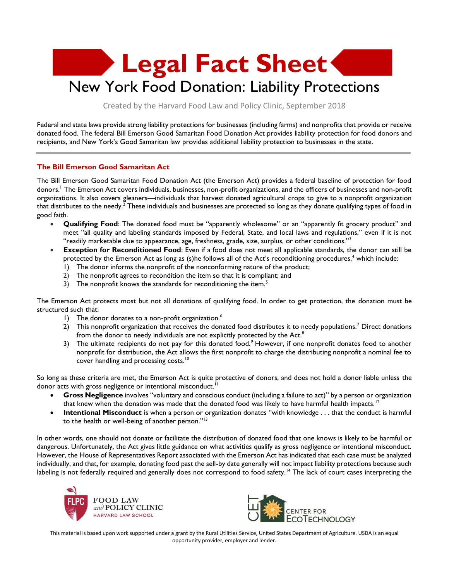

Created by the Harvard Food Law and Policy Clinic, September 2018

Federal and state laws provide strong liability protections for businesses (including farms) and nonprofits that provide or receive donated food. The federal Bill Emerson Good Samaritan Food Donation Act provides liability protection for food donors and recipients, and New York's Good Samaritan law provides additional liability protection to businesses in the state.

## **The Bill Emerson Good Samaritan Act**

The Bill Emerson Good Samaritan Food Donation Act (the Emerson Act) provides a federal baseline of protection for food donors.<sup>1</sup> The Emerson Act covers individuals, businesses, non-profit organizations, and the officers of businesses and non-profit organizations. It also covers gleaners—individuals that harvest donated agricultural crops to give to a nonprofit organization that distributes to the needy. $^2$  These individuals and businesses are protected so long as they donate qualifying types of food in good faith.

- **Qualifying Food**: The donated food must be "apparently wholesome" or an "apparently fit grocery product" and meet "all quality and labeling standards imposed by Federal, State, and local laws and regulations," even if it is not "readily marketable due to appearance, age, freshness, grade, size, surplus, or other conditions."<sup>3</sup>
- **Exception for Reconditioned Food**: Even if a food does not meet all applicable standards, the donor can still be protected by the Emerson Act as long as (s)he follows all of the Act's reconditioning procedures,<sup>4</sup> which include:
	- 1) The donor informs the nonprofit of the nonconforming nature of the product;
	- 2) The nonprofit agrees to recondition the item so that it is compliant; and
	- 3) The nonprofit knows the standards for reconditioning the item.<sup>5</sup>

The Emerson Act protects most but not all donations of qualifying food. In order to get protection, the donation must be structured such that:

- 1) The donor donates to a non-profit organization.<sup>6</sup>
- 2) This nonprofit organization that receives the donated food distributes it to needy populations.<sup>7</sup> Direct donations from the donor to needy individuals are not explicitly protected by the Act.<sup>8</sup>
- 3) The ultimate recipients do not pay for this donated food.<sup>9</sup> However, if one nonprofit donates food to another nonprofit for distribution, the Act allows the first nonprofit to charge the distributing nonprofit a nominal fee to cover handling and processing costs.<sup>10</sup>

So long as these criteria are met, the Emerson Act is quite protective of donors, and does not hold a donor liable unless the donor acts with gross negligence or intentional misconduct.<sup>11</sup>

- **Gross Negligence** involves "voluntary and conscious conduct (including a failure to act)" by a person or organization that knew when the donation was made that the donated food was likely to have harmful health impacts.<sup>12</sup>
- **Intentional Misconduct** is when a person or organization donates "with knowledge . . . that the conduct is harmful to the health or well-being of another person."<sup>13</sup>

In other words, one should not donate or facilitate the distribution of donated food that one knows is likely to be harmful or dangerous. Unfortunately, the Act gives little guidance on what activities qualify as gross negligence or intentional misconduct. However, the House of Representatives Report associated with the Emerson Act has indicated that each case must be analyzed individually, and that, for example, donating food past the sell-by date generally will not impact liability protections because such labeling is not federally required and generally does not correspond to food safety.<sup>14</sup> The lack of court cases interpreting the





This material is based upon work supported under a grant by the Rural Utilities Service, United States Department of Agriculture. USDA is an equal opportunity provider, employer and lender.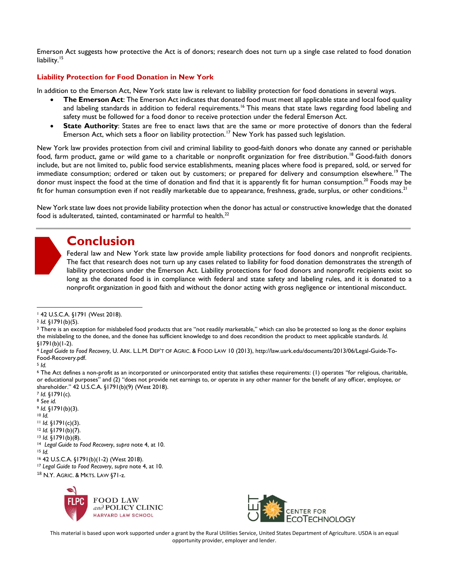Emerson Act suggests how protective the Act is of donors; research does not turn up a single case related to food donation liability.<sup>15</sup>

## **Liability Protection for Food Donation in New York**

In addition to the Emerson Act, New York state law is relevant to liability protection for food donations in several ways.

- **The Emerson Act**: The Emerson Act indicates that donated food must meet all applicable state and local food quality and labeling standards in addition to federal requirements.<sup>16</sup> This means that state laws regarding food labeling and safety must be followed for a food donor to receive protection under the federal Emerson Act.
- **State Authority**: States are free to enact laws that are the same or more protective of donors than the federal Emerson Act, which sets a floor on liability protection.<sup>17</sup> New York has passed such legislation.

New York law provides protection from civil and criminal liability to good-faith donors who donate any canned or perishable food, farm product, game or wild game to a charitable or nonprofit organization for free distribution.<sup>18</sup> Good-faith donors include, but are not limited to, public food service establishments, meaning places where food is prepared, sold, or served for immediate consumption; ordered or taken out by customers; or prepared for delivery and consumption elsewhere.<sup>19</sup> The donor must inspect the food at the time of donation and find that it is apparently fit for human consumption.<sup>20</sup> Foods may be fit for human consumption even if not readily marketable due to appearance, freshness, grade, surplus, or other conditions.<sup>21</sup>

New York state law does not provide liability protection when the donor has actual or constructive knowledge that the donated food is adulterated, tainted, contaminated or harmful to health. $^{22}$ 

## **Conclusion**

Federal law and New York state law provide ample liability protections for food donors and nonprofit recipients. The fact that research does not turn up any cases related to liability for food donation demonstrates the strength of liability protections under the Emerson Act. Liability protections for food donors and nonprofit recipients exist so long as the donated food is in compliance with federal and state safety and labeling rules, and it is donated to a nonprofit organization in good faith and without the donor acting with gross negligence or intentional misconduct.

<sup>3</sup> There is an exception for mislabeled food products that are "not readily marketable," which can also be protected so long as the donor explains the mislabeling to the donee, and the donee has sufficient knowledge to and does recondition the product to meet applicable standards. *Id.*  §1791(b)(1-2).

<sup>6</sup> The Act defines a non-profit as an incorporated or unincorporated entity that satisfies these requirements: (1) operates "for religious, charitable, or educational purposes" and (2) "does not provide net earnings to, or operate in any other manner for the benefit of any officer, employee, or shareholder." 42 U.S.C.A. §1791(b)(9) (West 2018).

<sup>7</sup> *Id.* §1791(c). <sup>8</sup> *See id.*

<sup>9</sup> *Id.* §1791(b)(3).

<sup>10</sup> *Id.*

- <sup>11</sup> *Id.* §1791(c)(3).
- <sup>12</sup> *Id.* §1791(b)(7).
- <sup>13</sup> *Id.* §1791(b)(8).
- <sup>14</sup> *Legal Guide to Food Recovery*, *supra* note 4, at 10.
- <sup>15</sup> *Id.*

<sup>18</sup> N.Y. AGRIC. & MKTS. LAW §71-z.





This material is based upon work supported under a grant by the Rural Utilities Service, United States Department of Agriculture. USDA is an equal opportunity provider, employer and lender.

<sup>1</sup> 42 U.S.C.A. §1791 (West 2018).  $\overline{a}$ 

<sup>2</sup> *Id.* §1791(b)(5).

<sup>4</sup> *Legal Guide to Food Recovery*, U. ARK. L.L.M. DEP'T OF AGRIC. & FOOD LAW 10 (2013), http://law.uark.edu/documents/2013/06/Legal-Guide-To-Food-Recovery.pdf.

<sup>5</sup> *Id.*

<sup>16</sup> 42 U.S.C.A. §1791(b)(1-2) (West 2018).

<sup>17</sup> *Legal Guide to Food Recovery*, *supra* note 4, at 10.